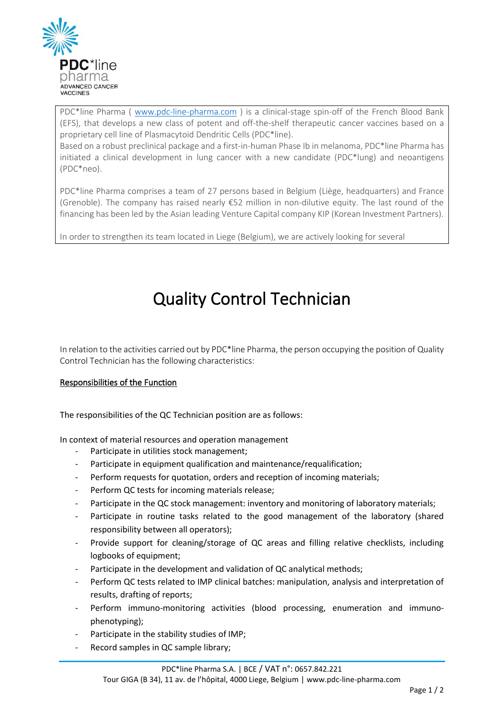

PDC\*line Pharma ( [www.pdc-line-pharma.com](http://www.pdc-line-pharma.com/) ) is a clinical-stage spin-off of the French Blood Bank (EFS), that develops a new class of potent and off-the-shelf therapeutic cancer vaccines based on a proprietary cell line of Plasmacytoid Dendritic Cells (PDC\*line).

Based on a robust preclinical package and a first-in-human Phase Ib in melanoma, PDC\*line Pharma has initiated a clinical development in lung cancer with a new candidate (PDC\*lung) and neoantigens (PDC\*neo).

PDC\*line Pharma comprises a team of 27 persons based in Belgium (Liège, headquarters) and France (Grenoble). The company has raised nearly  $\epsilon$ 52 million in non-dilutive equity. The last round of the financing has been led by the Asian leading Venture Capital company KIP (Korean Investment Partners).

In order to strengthen its team located in Liege (Belgium), we are actively looking for several

# Quality Control Technician

In relation to the activities carried out by PDC\*line Pharma, the person occupying the position of Quality Control Technician has the following characteristics:

## Responsibilities of the Function

The responsibilities of the QC Technician position are as follows:

In context of material resources and operation management

- Participate in utilities stock management:
- Participate in equipment qualification and maintenance/requalification;
- Perform requests for quotation, orders and reception of incoming materials;
- Perform QC tests for incoming materials release;
- Participate in the QC stock management: inventory and monitoring of laboratory materials;
- Participate in routine tasks related to the good management of the laboratory (shared responsibility between all operators);
- Provide support for cleaning/storage of QC areas and filling relative checklists, including logbooks of equipment;
- Participate in the development and validation of QC analytical methods;
- Perform QC tests related to IMP clinical batches: manipulation, analysis and interpretation of results, drafting of reports;
- Perform immuno-monitoring activities (blood processing, enumeration and immunophenotyping);
- Participate in the stability studies of IMP;
- Record samples in QC sample library;